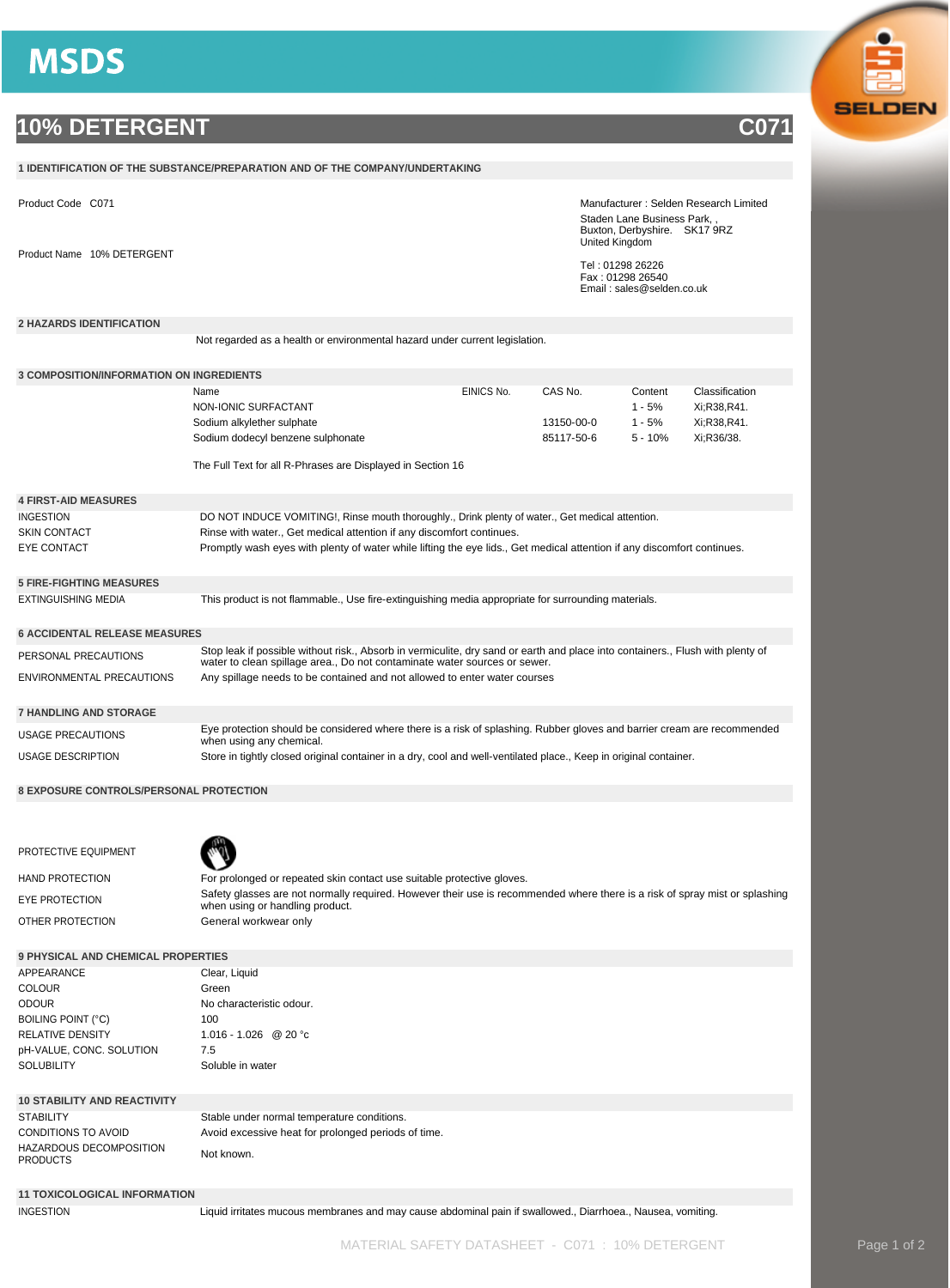## **MSDS**

## **10% DETERGENT C071**

|                                                     | 1 IDENTIFICATION OF THE SUBSTANCE/PREPARATION AND OF THE COMPANY/UNDERTAKING                                                                                                                                |            |            |                                                                                                                       |                |  |
|-----------------------------------------------------|-------------------------------------------------------------------------------------------------------------------------------------------------------------------------------------------------------------|------------|------------|-----------------------------------------------------------------------------------------------------------------------|----------------|--|
| Product Code C071                                   |                                                                                                                                                                                                             |            |            | Manufacturer: Selden Research Limited<br>Staden Lane Business Park,<br>Buxton, Derbyshire. SK17 9RZ<br>United Kingdom |                |  |
| Product Name 10% DETERGENT                          |                                                                                                                                                                                                             |            |            | Tel: 01298 26226<br>Fax: 01298 26540<br>Email: sales@selden.co.uk                                                     |                |  |
| <b>2 HAZARDS IDENTIFICATION</b>                     |                                                                                                                                                                                                             |            |            |                                                                                                                       |                |  |
|                                                     | Not regarded as a health or environmental hazard under current legislation.                                                                                                                                 |            |            |                                                                                                                       |                |  |
| <b>3 COMPOSITION/INFORMATION ON INGREDIENTS</b>     |                                                                                                                                                                                                             |            |            |                                                                                                                       |                |  |
|                                                     | Name                                                                                                                                                                                                        | EINICS No. | CAS No.    | Content                                                                                                               | Classification |  |
|                                                     | NON-IONIC SURFACTANT                                                                                                                                                                                        |            |            | $1 - 5%$                                                                                                              | Xi;R38,R41.    |  |
|                                                     | Sodium alkylether sulphate                                                                                                                                                                                  |            | 13150-00-0 | $1 - 5%$                                                                                                              | Xi;R38,R41.    |  |
|                                                     | Sodium dodecyl benzene sulphonate                                                                                                                                                                           |            | 85117-50-6 | $5 - 10%$                                                                                                             | Xi;R36/38.     |  |
|                                                     | The Full Text for all R-Phrases are Displayed in Section 16                                                                                                                                                 |            |            |                                                                                                                       |                |  |
| <b>4 FIRST-AID MEASURES</b>                         |                                                                                                                                                                                                             |            |            |                                                                                                                       |                |  |
| <b>INGESTION</b>                                    | DO NOT INDUCE VOMITING!, Rinse mouth thoroughly., Drink plenty of water., Get medical attention.                                                                                                            |            |            |                                                                                                                       |                |  |
| <b>SKIN CONTACT</b>                                 | Rinse with water., Get medical attention if any discomfort continues.                                                                                                                                       |            |            |                                                                                                                       |                |  |
| <b>EYE CONTACT</b>                                  | Promptly wash eyes with plenty of water while lifting the eye lids., Get medical attention if any discomfort continues.                                                                                     |            |            |                                                                                                                       |                |  |
| <b>5 FIRE-FIGHTING MEASURES</b>                     |                                                                                                                                                                                                             |            |            |                                                                                                                       |                |  |
| EXTINGUISHING MEDIA                                 | This product is not flammable., Use fire-extinguishing media appropriate for surrounding materials.                                                                                                         |            |            |                                                                                                                       |                |  |
|                                                     |                                                                                                                                                                                                             |            |            |                                                                                                                       |                |  |
| <b>6 ACCIDENTAL RELEASE MEASURES</b>                |                                                                                                                                                                                                             |            |            |                                                                                                                       |                |  |
| PERSONAL PRECAUTIONS                                | Stop leak if possible without risk., Absorb in vermiculite, dry sand or earth and place into containers., Flush with plenty of<br>water to clean spillage area., Do not contaminate water sources or sewer. |            |            |                                                                                                                       |                |  |
| ENVIRONMENTAL PRECAUTIONS                           | Any spillage needs to be contained and not allowed to enter water courses                                                                                                                                   |            |            |                                                                                                                       |                |  |
| <b>7 HANDLING AND STORAGE</b>                       |                                                                                                                                                                                                             |            |            |                                                                                                                       |                |  |
| <b>USAGE PRECAUTIONS</b>                            | Eye protection should be considered where there is a risk of splashing. Rubber gloves and barrier cream are recommended<br>when using any chemical.                                                         |            |            |                                                                                                                       |                |  |
| USAGE DESCRIPTION                                   | Store in tightly closed original container in a dry, cool and well-ventilated place., Keep in original container.                                                                                           |            |            |                                                                                                                       |                |  |
|                                                     |                                                                                                                                                                                                             |            |            |                                                                                                                       |                |  |
| 8 EXPOSURE CONTROLS/PERSONAL PROTECTION             |                                                                                                                                                                                                             |            |            |                                                                                                                       |                |  |
|                                                     |                                                                                                                                                                                                             |            |            |                                                                                                                       |                |  |
| PROTECTIVE EQUIPMENT                                |                                                                                                                                                                                                             |            |            |                                                                                                                       |                |  |
| <b>HAND PROTECTION</b>                              | For prolonged or repeated skin contact use suitable protective gloves.                                                                                                                                      |            |            |                                                                                                                       |                |  |
| EYE PROTECTION                                      | Safety glasses are not normally required. However their use is recommended where there is a risk of spray mist or splashing<br>when using or handling product.                                              |            |            |                                                                                                                       |                |  |
| OTHER PROTECTION                                    | General workwear only                                                                                                                                                                                       |            |            |                                                                                                                       |                |  |
| 9 PHYSICAL AND CHEMICAL PROPERTIES                  |                                                                                                                                                                                                             |            |            |                                                                                                                       |                |  |
| APPEARANCE                                          | Clear, Liquid                                                                                                                                                                                               |            |            |                                                                                                                       |                |  |
| <b>COLOUR</b>                                       | Green                                                                                                                                                                                                       |            |            |                                                                                                                       |                |  |
| <b>ODOUR</b>                                        | No characteristic odour.                                                                                                                                                                                    |            |            |                                                                                                                       |                |  |
| <b>BOILING POINT (°C)</b>                           | 100                                                                                                                                                                                                         |            |            |                                                                                                                       |                |  |
| <b>RELATIVE DENSITY</b><br>pH-VALUE, CONC. SOLUTION | 1.016 - 1.026 @ 20 °c<br>7.5                                                                                                                                                                                |            |            |                                                                                                                       |                |  |
| <b>SOLUBILITY</b>                                   | Soluble in water                                                                                                                                                                                            |            |            |                                                                                                                       |                |  |
|                                                     |                                                                                                                                                                                                             |            |            |                                                                                                                       |                |  |
| <b>10 STABILITY AND REACTIVITY</b>                  |                                                                                                                                                                                                             |            |            |                                                                                                                       |                |  |
| <b>STABILITY</b><br>CONDITIONS TO AVOID             | Stable under normal temperature conditions.<br>Avoid excessive heat for prolonged periods of time.                                                                                                          |            |            |                                                                                                                       |                |  |
| HAZARDOUS DECOMPOSITION                             |                                                                                                                                                                                                             |            |            |                                                                                                                       |                |  |
| <b>PRODUCTS</b>                                     | Not known.                                                                                                                                                                                                  |            |            |                                                                                                                       |                |  |
|                                                     |                                                                                                                                                                                                             |            |            |                                                                                                                       |                |  |
| <b>11 TOXICOLOGICAL INFORMATION</b>                 |                                                                                                                                                                                                             |            |            |                                                                                                                       |                |  |
| <b>INGESTION</b>                                    | Liquid irritates mucous membranes and may cause abdominal pain if swallowed., Diarrhoea., Nausea, vomiting.                                                                                                 |            |            |                                                                                                                       |                |  |